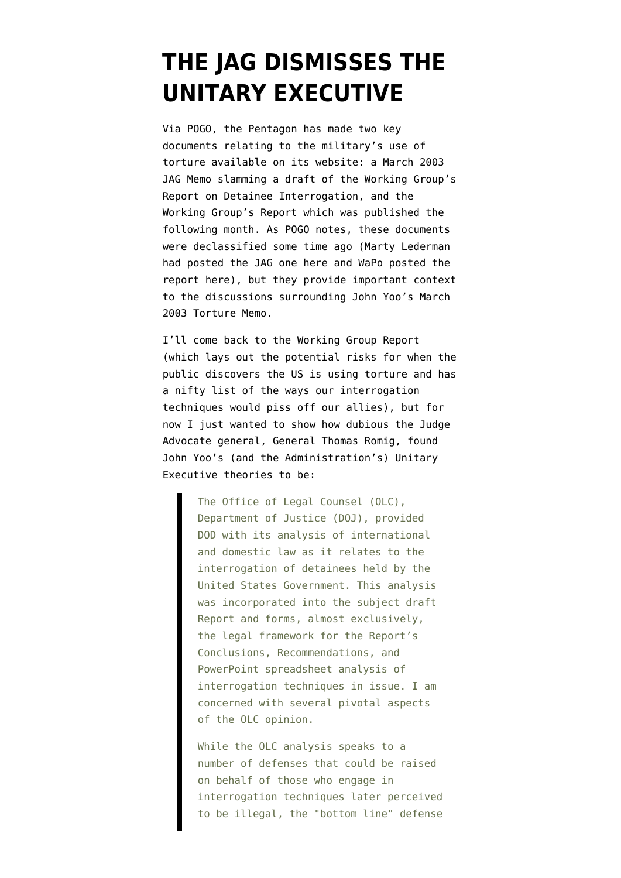## **[THE JAG DISMISSES THE](https://www.emptywheel.net/2008/06/05/the-jag-dismisses-the-unitary-executive/) [UNITARY EXECUTIVE](https://www.emptywheel.net/2008/06/05/the-jag-dismisses-the-unitary-executive/)**

Via [POGO,](http://pogoblog.typepad.com/pogo/2008/06/2003-pentagon-w.html) the Pentagon has made two key documents relating to the military's use of torture available on its website: a March 2003 [JAG Memo](http://emptywheel.firedoglake.com/files/28/files//2008/06/jagmemo-torture.pdf) slamming a draft of the Working Group's Report on Detainee Interrogation, and the [Working Group's Report](http://www.dod.mil/pubs/foi/detainees/working_grp_report_detainee_interrogations.pdf) which was published the following month. As POGO notes, these documents were declassified some time ago (Marty Lederman had posted the JAG one [here](http://balkin.blogspot.com/2005/07/jag-memos-on-military-interrogation.html) and WaPo posted the report [here](http://www.washingtonpost.com/wp-srv/nation/documents/040403dod.pdf)), but they provide important context to the discussions surrounding [John Yoo's March](http://www.aclu.org/pdfs/safefree/yoo_army_torture_memo.pdf) [2003 Torture Memo.](http://www.aclu.org/pdfs/safefree/yoo_army_torture_memo.pdf)

I'll come back to the Working Group Report (which lays out the potential risks for when the public discovers the US is using torture and has a nifty list of the ways our interrogation techniques would piss off our allies), but for now I just wanted to show how dubious the Judge Advocate general, General Thomas Romig, found John Yoo's (and the Administration's) Unitary Executive theories to be:

> The Office of Legal Counsel (OLC), Department of Justice (DOJ), provided DOD with its analysis of international and domestic law as it relates to the interrogation of detainees held by the United States Government. This analysis was incorporated into the subject draft Report and forms, almost exclusively, the legal framework for the Report's Conclusions, Recommendations, and PowerPoint spreadsheet analysis of interrogation techniques in issue. I am concerned with several pivotal aspects of the OLC opinion.

While the OLC analysis speaks to a number of defenses that could be raised on behalf of those who engage in interrogation techniques later perceived to be illegal, the "bottom line" defense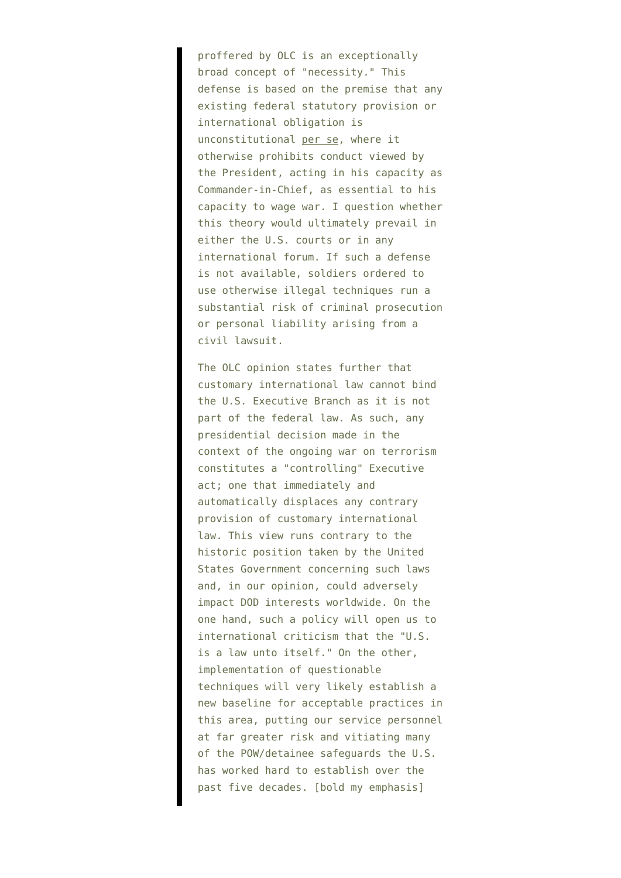proffered by OLC is an exceptionally broad concept of "necessity." This defense is based on the premise that any existing federal statutory provision or international obligation is unconstitutional per se, where it otherwise prohibits conduct viewed by the President, acting in his capacity as Commander-in-Chief, as essential to his capacity to wage war. I question whether this theory would ultimately prevail in either the U.S. courts or in any international forum. If such a defense is not available, soldiers ordered to use otherwise illegal techniques run a substantial risk of criminal prosecution or personal liability arising from a civil lawsuit.

The OLC opinion states further that customary international law cannot bind the U.S. Executive Branch as it is not part of the federal law. As such, any presidential decision made in the context of the ongoing war on terrorism constitutes a "controlling" Executive act; one that immediately and automatically displaces any contrary provision of customary international law. This view runs contrary to the historic position taken by the United States Government concerning such laws and, in our opinion, could adversely impact DOD interests worldwide. On the one hand, such a policy will open us to international criticism that the "U.S. is a law unto itself." On the other, implementation of questionable techniques will very likely establish a new baseline for acceptable practices in this area, putting our service personnel at far greater risk and vitiating many of the POW/detainee safeguards the U.S. has worked hard to establish over the past five decades. [bold my emphasis]